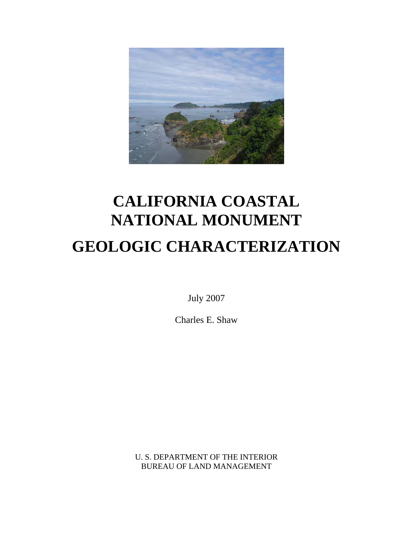

# **CALIFORNIA COASTAL NATIONAL MONUMENT GEOLOGIC CHARACTERIZATION**

July 2007

Charles E. Shaw

U. S. DEPARTMENT OF THE INTERIOR BUREAU OF LAND MANAGEMENT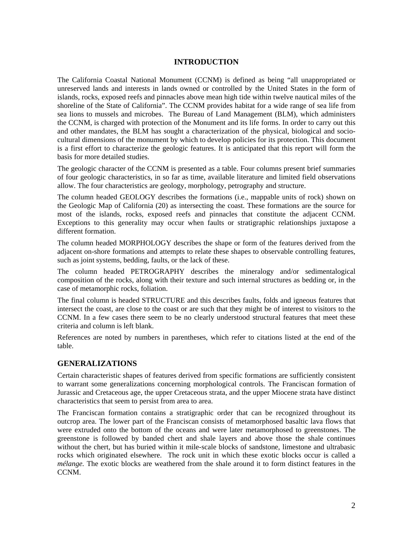#### **INTRODUCTION**

The California Coastal National Monument (CCNM) is defined as being "all unappropriated or unreserved lands and interests in lands owned or controlled by the United States in the form of islands, rocks, exposed reefs and pinnacles above mean high tide within twelve nautical miles of the shoreline of the State of California". The CCNM provides habitat for a wide range of sea life from sea lions to mussels and microbes. The Bureau of Land Management (BLM), which administers the CCNM, is charged with protection of the Monument and its life forms. In order to carry out this and other mandates, the BLM has sought a characterization of the physical, biological and sociocultural dimensions of the monument by which to develop policies for its protection. This document is a first effort to characterize the geologic features. It is anticipated that this report will form the basis for more detailed studies.

The geologic character of the CCNM is presented as a table. Four columns present brief summaries of four geologic characteristics, in so far as time, available literature and limited field observations allow. The four characteristics are geology, morphology, petrography and structure.

The column headed GEOLOGY describes the formations (i.e., mappable units of rock) shown on the Geologic Map of California (20) as intersecting the coast. These formations are the source for most of the islands, rocks, exposed reefs and pinnacles that constitute the adjacent CCNM. Exceptions to this generality may occur when faults or stratigraphic relationships juxtapose a different formation.

The column headed MORPHOLOGY describes the shape or form of the features derived from the adjacent on-shore formations and attempts to relate these shapes to observable controlling features, such as joint systems, bedding, faults, or the lack of these.

The column headed PETROGRAPHY describes the mineralogy and/or sedimentalogical composition of the rocks, along with their texture and such internal structures as bedding or, in the case of metamorphic rocks, foliation.

The final column is headed STRUCTURE and this describes faults, folds and igneous features that intersect the coast, are close to the coast or are such that they might be of interest to visitors to the CCNM. In a few cases there seem to be no clearly understood structural features that meet these criteria and column is left blank.

References are noted by numbers in parentheses, which refer to citations listed at the end of the table.

#### **GENERALIZATIONS**

Certain characteristic shapes of features derived from specific formations are sufficiently consistent to warrant some generalizations concerning morphological controls. The Franciscan formation of Jurassic and Cretaceous age, the upper Cretaceous strata, and the upper Miocene strata have distinct characteristics that seem to persist from area to area.

The Franciscan formation contains a stratigraphic order that can be recognized throughout its outcrop area. The lower part of the Franciscan consists of metamorphosed basaltic lava flows that were extruded onto the bottom of the oceans and were later metamorphosed to greenstones. The greenstone is followed by banded chert and shale layers and above those the shale continues without the chert, but has buried within it mile-scale blocks of sandstone, limestone and ultrabasic rocks which originated elsewhere. The rock unit in which these exotic blocks occur is called a *mélange.* The exotic blocks are weathered from the shale around it to form distinct features in the CCNM.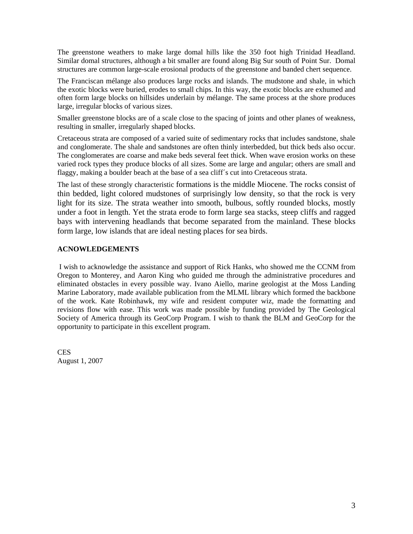The greenstone weathers to make large domal hills like the 350 foot high Trinidad Headland. Similar domal structures, although a bit smaller are found along Big Sur south of Point Sur. Domal structures are common large-scale erosional products of the greenstone and banded chert sequence.

The Franciscan mélange also produces large rocks and islands. The mudstone and shale, in which the exotic blocks were buried, erodes to small chips. In this way, the exotic blocks are exhumed and often form large blocks on hillsides underlain by mélange. The same process at the shore produces large, irregular blocks of various sizes.

Smaller greenstone blocks are of a scale close to the spacing of joints and other planes of weakness, resulting in smaller, irregularly shaped blocks.

Cretaceous strata are composed of a varied suite of sedimentary rocks that includes sandstone, shale and conglomerate. The shale and sandstones are often thinly interbedded, but thick beds also occur. The conglomerates are coarse and make beds several feet thick. When wave erosion works on these varied rock types they produce blocks of all sizes. Some are large and angular; others are small and flaggy, making a boulder beach at the base of a sea cliff´s cut into Cretaceous strata.

The last of these strongly characteristic formations is the middle Miocene. The rocks consist of thin bedded, light colored mudstones of surprisingly low density, so that the rock is very light for its size. The strata weather into smooth, bulbous, softly rounded blocks, mostly under a foot in length. Yet the strata erode to form large sea stacks, steep cliffs and ragged bays with intervening headlands that become separated from the mainland. These blocks form large, low islands that are ideal nesting places for sea birds.

#### **ACNOWLEDGEMENTS**

I wish to acknowledge the assistance and support of Rick Hanks, who showed me the CCNM from Oregon to Monterey, and Aaron King who guided me through the administrative procedures and eliminated obstacles in every possible way. Ivano Aiello, marine geologist at the Moss Landing Marine Laboratory, made available publication from the MLML library which formed the backbone of the work. Kate Robinhawk, my wife and resident computer wiz, made the formatting and revisions flow with ease. This work was made possible by funding provided by The Geological Society of America through its GeoCorp Program. I wish to thank the BLM and GeoCorp for the opportunity to participate in this excellent program.

**CES** August 1, 2007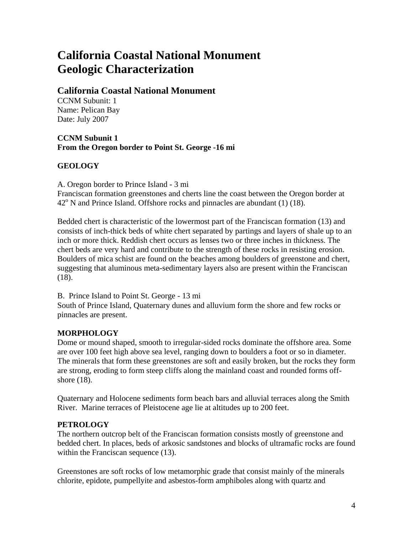# **California Coastal National Monument Geologic Characterization**

## **California Coastal National Monument**

CCNM Subunit: 1 Name: Pelican Bay Date: July 2007

## **CCNM Subunit 1 From the Oregon border to Point St. George -16 mi**

## **GEOLOGY**

A. Oregon border to Prince Island - 3 mi

Franciscan formation greenstones and cherts line the coast between the Oregon border at 42<sup>o</sup> N and Prince Island. Offshore rocks and pinnacles are abundant (1) (18).

Bedded chert is characteristic of the lowermost part of the Franciscan formation (13) and consists of inch-thick beds of white chert separated by partings and layers of shale up to an inch or more thick. Reddish chert occurs as lenses two or three inches in thickness. The chert beds are very hard and contribute to the strength of these rocks in resisting erosion. Boulders of mica schist are found on the beaches among boulders of greenstone and chert, suggesting that aluminous meta-sedimentary layers also are present within the Franciscan (18).

B. Prince Island to Point St. George - 13 mi

South of Prince Island, Quaternary dunes and alluvium form the shore and few rocks or pinnacles are present.

## **MORPHOLOGY**

Dome or mound shaped, smooth to irregular-sided rocks dominate the offshore area. Some are over 100 feet high above sea level, ranging down to boulders a foot or so in diameter. The minerals that form these greenstones are soft and easily broken, but the rocks they form are strong, eroding to form steep cliffs along the mainland coast and rounded forms offshore (18).

Quaternary and Holocene sediments form beach bars and alluvial terraces along the Smith River. Marine terraces of Pleistocene age lie at altitudes up to 200 feet.

## **PETROLOGY**

The northern outcrop belt of the Franciscan formation consists mostly of greenstone and bedded chert. In places, beds of arkosic sandstones and blocks of ultramafic rocks are found within the Franciscan sequence (13).

Greenstones are soft rocks of low metamorphic grade that consist mainly of the minerals chlorite, epidote, pumpellyite and asbestos-form amphiboles along with quartz and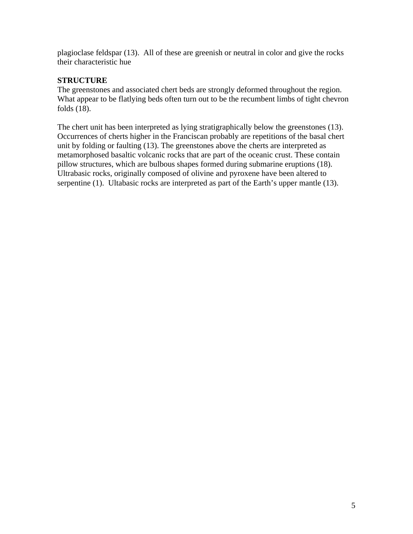plagioclase feldspar (13). All of these are greenish or neutral in color and give the rocks their characteristic hue

## **STRUCTURE**

The greenstones and associated chert beds are strongly deformed throughout the region. What appear to be flatlying beds often turn out to be the recumbent limbs of tight chevron folds (18).

The chert unit has been interpreted as lying stratigraphically below the greenstones (13). Occurrences of cherts higher in the Franciscan probably are repetitions of the basal chert unit by folding or faulting (13). The greenstones above the cherts are interpreted as metamorphosed basaltic volcanic rocks that are part of the oceanic crust. These contain pillow structures, which are bulbous shapes formed during submarine eruptions (18). Ultrabasic rocks, originally composed of olivine and pyroxene have been altered to serpentine (1). Ultabasic rocks are interpreted as part of the Earth's upper mantle (13).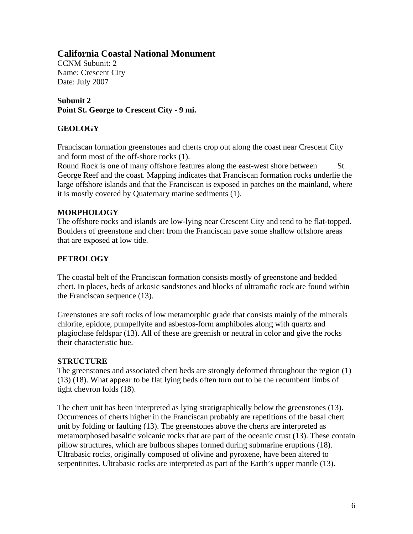CCNM Subunit: 2 Name: Crescent City Date: July 2007

**Subunit 2 Point St. George to Crescent City - 9 mi.** 

## **GEOLOGY**

Franciscan formation greenstones and cherts crop out along the coast near Crescent City and form most of the off-shore rocks (1).

Round Rock is one of many offshore features along the east-west shore between St. George Reef and the coast. Mapping indicates that Franciscan formation rocks underlie the large offshore islands and that the Franciscan is exposed in patches on the mainland, where it is mostly covered by Quaternary marine sediments (1).

#### **MORPHOLOGY**

The offshore rocks and islands are low-lying near Crescent City and tend to be flat-topped. Boulders of greenstone and chert from the Franciscan pave some shallow offshore areas that are exposed at low tide.

#### **PETROLOGY**

The coastal belt of the Franciscan formation consists mostly of greenstone and bedded chert. In places, beds of arkosic sandstones and blocks of ultramafic rock are found within the Franciscan sequence (13).

Greenstones are soft rocks of low metamorphic grade that consists mainly of the minerals chlorite, epidote, pumpellyite and asbestos-form amphiboles along with quartz and plagioclase feldspar (13). All of these are greenish or neutral in color and give the rocks their characteristic hue.

#### **STRUCTURE**

The greenstones and associated chert beds are strongly deformed throughout the region (1) (13) (18). What appear to be flat lying beds often turn out to be the recumbent limbs of tight chevron folds (18).

The chert unit has been interpreted as lying stratigraphically below the greenstones (13). Occurrences of cherts higher in the Franciscan probably are repetitions of the basal chert unit by folding or faulting (13). The greenstones above the cherts are interpreted as metamorphosed basaltic volcanic rocks that are part of the oceanic crust (13). These contain pillow structures, which are bulbous shapes formed during submarine eruptions (18). Ultrabasic rocks, originally composed of olivine and pyroxene, have been altered to serpentinites. Ultrabasic rocks are interpreted as part of the Earth's upper mantle (13).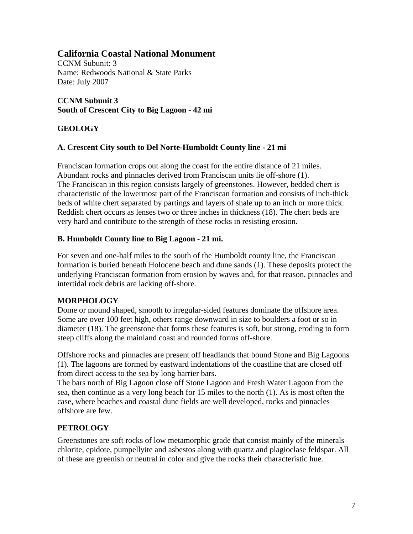CCNM Subunit: 3 Name: Redwoods National & State Parks Date: July 2007

## **CCNM Subunit 3 South of Crescent City to Big Lagoon - 42 mi**

## **GEOLOGY**

## **A. Crescent City south to Del Norte-Humboldt County line - 21 mi**

Franciscan formation crops out along the coast for the entire distance of 21 miles. Abundant rocks and pinnacles derived from Franciscan units lie off-shore (1). The Franciscan in this region consists largely of greenstones. However, bedded chert is characteristic of the lowermost part of the Franciscan formation and consists of inch-thick beds of white chert separated by partings and layers of shale up to an inch or more thick. Reddish chert occurs as lenses two or three inches in thickness (18). The chert beds are very hard and contribute to the strength of these rocks in resisting erosion.

## **B. Humboldt County line to Big Lagoon - 21 mi.**

For seven and one-half miles to the south of the Humboldt county line, the Franciscan formation is buried beneath Holocene beach and dune sands (1). These deposits protect the underlying Franciscan formation from erosion by waves and, for that reason, pinnacles and intertidal rock debris are lacking off-shore.

## **MORPHOLOGY**

Dome or mound shaped, smooth to irregular-sided features dominate the offshore area. Some are over 100 feet high, others range downward in size to boulders a foot or so in diameter (18). The greenstone that forms these features is soft, but strong, eroding to form steep cliffs along the mainland coast and rounded forms off-shore.

Offshore rocks and pinnacles are present off headlands that bound Stone and Big Lagoons (1). The lagoons are formed by eastward indentations of the coastline that are closed off from direct access to the sea by long barrier bars.

The bars north of Big Lagoon close off Stone Lagoon and Fresh Water Lagoon from the sea, then continue as a very long beach for 15 miles to the north (1). As is most often the case, where beaches and coastal dune fields are well developed, rocks and pinnacles offshore are few.

## **PETROLOGY**

Greenstones are soft rocks of low metamorphic grade that consist mainly of the minerals chlorite, epidote, pumpellyite and asbestos along with quartz and plagioclase feldspar. All of these are greenish or neutral in color and give the rocks their characteristic hue.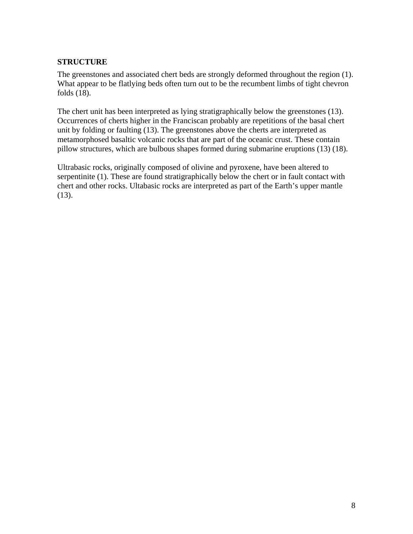## **STRUCTURE**

The greenstones and associated chert beds are strongly deformed throughout the region (1). What appear to be flatlying beds often turn out to be the recumbent limbs of tight chevron folds (18).

The chert unit has been interpreted as lying stratigraphically below the greenstones (13). Occurrences of cherts higher in the Franciscan probably are repetitions of the basal chert unit by folding or faulting (13). The greenstones above the cherts are interpreted as metamorphosed basaltic volcanic rocks that are part of the oceanic crust. These contain pillow structures, which are bulbous shapes formed during submarine eruptions (13) (18).

Ultrabasic rocks, originally composed of olivine and pyroxene, have been altered to serpentinite (1). These are found stratigraphically below the chert or in fault contact with chert and other rocks. Ultabasic rocks are interpreted as part of the Earth's upper mantle (13).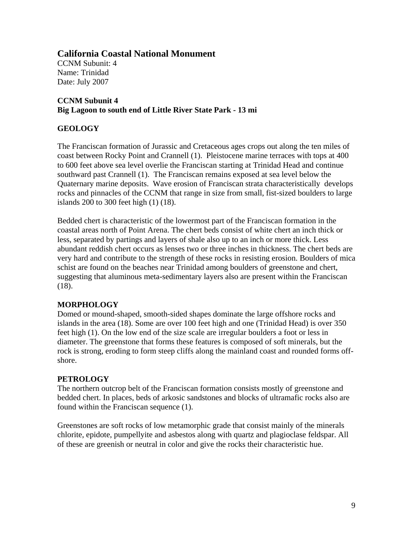CCNM Subunit: 4 Name: Trinidad Date: July 2007

## **CCNM Subunit 4 Big Lagoon to south end of Little River State Park - 13 mi**

## **GEOLOGY**

The Franciscan formation of Jurassic and Cretaceous ages crops out along the ten miles of coast between Rocky Point and Crannell (1). Pleistocene marine terraces with tops at 400 to 600 feet above sea level overlie the Franciscan starting at Trinidad Head and continue southward past Crannell (1). The Franciscan remains exposed at sea level below the Quaternary marine deposits. Wave erosion of Franciscan strata characteristically develops rocks and pinnacles of the CCNM that range in size from small, fist-sized boulders to large islands 200 to 300 feet high (1) (18).

Bedded chert is characteristic of the lowermost part of the Franciscan formation in the coastal areas north of Point Arena. The chert beds consist of white chert an inch thick or less, separated by partings and layers of shale also up to an inch or more thick. Less abundant reddish chert occurs as lenses two or three inches in thickness. The chert beds are very hard and contribute to the strength of these rocks in resisting erosion. Boulders of mica schist are found on the beaches near Trinidad among boulders of greenstone and chert, suggesting that aluminous meta-sedimentary layers also are present within the Franciscan (18).

## **MORPHOLOGY**

Domed or mound-shaped, smooth-sided shapes dominate the large offshore rocks and islands in the area (18). Some are over 100 feet high and one (Trinidad Head) is over 350 feet high (1). On the low end of the size scale are irregular boulders a foot or less in diameter. The greenstone that forms these features is composed of soft minerals, but the rock is strong, eroding to form steep cliffs along the mainland coast and rounded forms offshore.

## **PETROLOGY**

The northern outcrop belt of the Franciscan formation consists mostly of greenstone and bedded chert. In places, beds of arkosic sandstones and blocks of ultramafic rocks also are found within the Franciscan sequence (1).

Greenstones are soft rocks of low metamorphic grade that consist mainly of the minerals chlorite, epidote, pumpellyite and asbestos along with quartz and plagioclase feldspar. All of these are greenish or neutral in color and give the rocks their characteristic hue.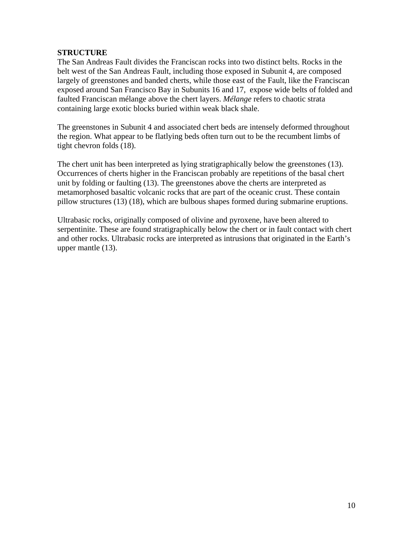#### **STRUCTURE**

The San Andreas Fault divides the Franciscan rocks into two distinct belts. Rocks in the belt west of the San Andreas Fault, including those exposed in Subunit 4, are composed largely of greenstones and banded cherts, while those east of the Fault, like the Franciscan exposed around San Francisco Bay in Subunits 16 and 17, expose wide belts of folded and faulted Franciscan mélange above the chert layers. *Mélange* refers to chaotic strata containing large exotic blocks buried within weak black shale.

The greenstones in Subunit 4 and associated chert beds are intensely deformed throughout the region. What appear to be flatlying beds often turn out to be the recumbent limbs of tight chevron folds (18).

The chert unit has been interpreted as lying stratigraphically below the greenstones (13). Occurrences of cherts higher in the Franciscan probably are repetitions of the basal chert unit by folding or faulting (13). The greenstones above the cherts are interpreted as metamorphosed basaltic volcanic rocks that are part of the oceanic crust. These contain pillow structures (13) (18), which are bulbous shapes formed during submarine eruptions.

Ultrabasic rocks, originally composed of olivine and pyroxene, have been altered to serpentinite. These are found stratigraphically below the chert or in fault contact with chert and other rocks. Ultrabasic rocks are interpreted as intrusions that originated in the Earth's upper mantle (13).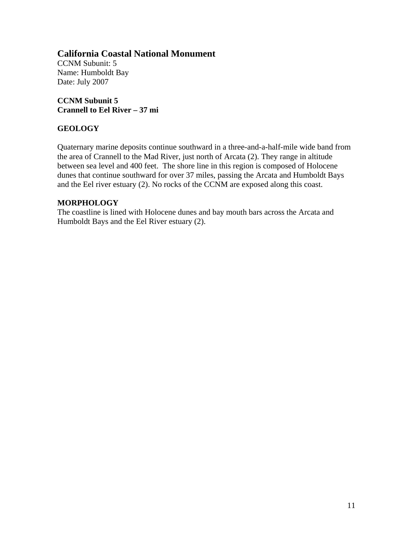CCNM Subunit: 5 Name: Humboldt Bay Date: July 2007

**CCNM Subunit 5 Crannell to Eel River – 37 mi** 

#### **GEOLOGY**

Quaternary marine deposits continue southward in a three-and-a-half-mile wide band from the area of Crannell to the Mad River, just north of Arcata (2). They range in altitude between sea level and 400 feet. The shore line in this region is composed of Holocene dunes that continue southward for over 37 miles, passing the Arcata and Humboldt Bays and the Eel river estuary (2). No rocks of the CCNM are exposed along this coast.

#### **MORPHOLOGY**

The coastline is lined with Holocene dunes and bay mouth bars across the Arcata and Humboldt Bays and the Eel River estuary (2).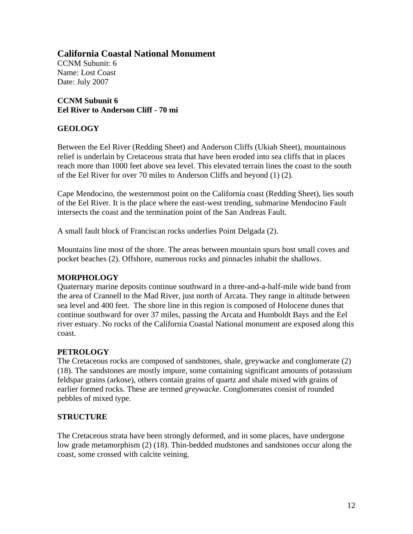CCNM Subunit: 6 Name: Lost Coast Date: July 2007

#### **CCNM Subunit 6 Eel River to Anderson Cliff - 70 mi**

## **GEOLOGY**

Between the Eel River (Redding Sheet) and Anderson Cliffs (Ukiah Sheet), mountainous relief is underlain by Cretaceous strata that have been eroded into sea cliffs that in places reach more than 1000 feet above sea level. This elevated terrain lines the coast to the south of the Eel River for over 70 miles to Anderson Cliffs and beyond (1) (2).

Cape Mendocino, the westernmost point on the California coast (Redding Sheet), lies south of the Eel River. It is the place where the east-west trending, submarine Mendocino Fault intersects the coast and the termination point of the San Andreas Fault.

A small fault block of Franciscan rocks underlies Point Delgada (2).

Mountains line most of the shore. The areas between mountain spurs host small coves and pocket beaches (2). Offshore, numerous rocks and pinnacles inhabit the shallows.

#### **MORPHOLOGY**

Quaternary marine deposits continue southward in a three-and-a-half-mile wide band from the area of Crannell to the Mad River, just north of Arcata. They range in altitude between sea level and 400 feet. The shore line in this region is composed of Holocene dunes that continue southward for over 37 miles, passing the Arcata and Humboldt Bays and the Eel river estuary. No rocks of the California Coastal National monument are exposed along this coast.

#### **PETROLOGY**

The Cretaceous rocks are composed of sandstones, shale, greywacke and conglomerate (2) (18). The sandstones are mostly impure, some containing significant amounts of potassium feldspar grains (arkose), others contain grains of quartz and shale mixed with grains of earlier formed rocks. These are termed *greywacke.* Conglomerates consist of rounded pebbles of mixed type.

## **STRUCTURE**

The Cretaceous strata have been strongly deformed, and in some places, have undergone low grade metamorphism (2) (18). Thin-bedded mudstones and sandstones occur along the coast, some crossed with calcite veining.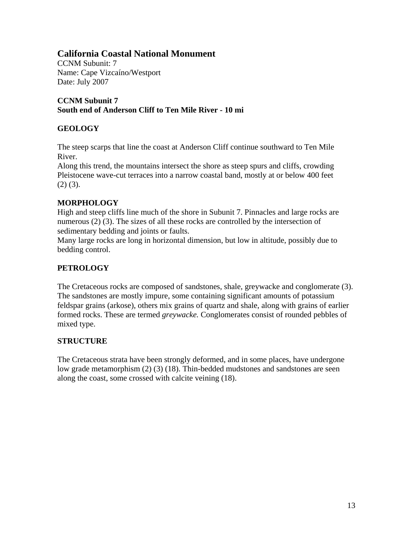CCNM Subunit: 7 Name: Cape Vizcaíno/Westport Date: July 2007

## **CCNM Subunit 7 South end of Anderson Cliff to Ten Mile River - 10 mi**

## **GEOLOGY**

The steep scarps that line the coast at Anderson Cliff continue southward to Ten Mile River.

Along this trend, the mountains intersect the shore as steep spurs and cliffs, crowding Pleistocene wave-cut terraces into a narrow coastal band, mostly at or below 400 feet  $(2)$   $(3)$ .

## **MORPHOLOGY**

High and steep cliffs line much of the shore in Subunit 7. Pinnacles and large rocks are numerous (2) (3). The sizes of all these rocks are controlled by the intersection of sedimentary bedding and joints or faults.

Many large rocks are long in horizontal dimension, but low in altitude, possibly due to bedding control.

## **PETROLOGY**

The Cretaceous rocks are composed of sandstones, shale, greywacke and conglomerate (3). The sandstones are mostly impure, some containing significant amounts of potassium feldspar grains (arkose), others mix grains of quartz and shale, along with grains of earlier formed rocks. These are termed *greywacke.* Conglomerates consist of rounded pebbles of mixed type.

## **STRUCTURE**

The Cretaceous strata have been strongly deformed, and in some places, have undergone low grade metamorphism (2) (3) (18). Thin-bedded mudstones and sandstones are seen along the coast, some crossed with calcite veining (18).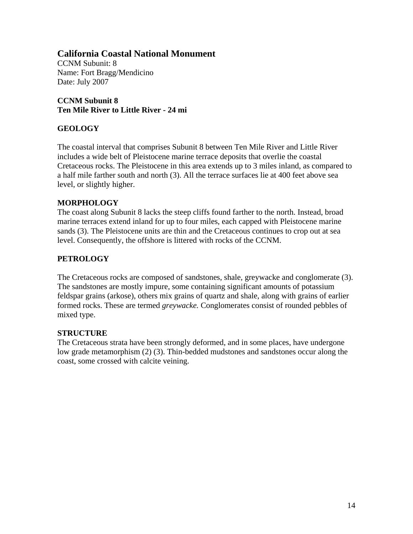CCNM Subunit: 8 Name: Fort Bragg/Mendicino Date: July 2007

**CCNM Subunit 8 Ten Mile River to Little River - 24 mi** 

## **GEOLOGY**

The coastal interval that comprises Subunit 8 between Ten Mile River and Little River includes a wide belt of Pleistocene marine terrace deposits that overlie the coastal Cretaceous rocks. The Pleistocene in this area extends up to 3 miles inland, as compared to a half mile farther south and north (3). All the terrace surfaces lie at 400 feet above sea level, or slightly higher.

#### **MORPHOLOGY**

The coast along Subunit 8 lacks the steep cliffs found farther to the north. Instead, broad marine terraces extend inland for up to four miles, each capped with Pleistocene marine sands (3). The Pleistocene units are thin and the Cretaceous continues to crop out at sea level. Consequently, the offshore is littered with rocks of the CCNM.

#### **PETROLOGY**

The Cretaceous rocks are composed of sandstones, shale, greywacke and conglomerate (3). The sandstones are mostly impure, some containing significant amounts of potassium feldspar grains (arkose), others mix grains of quartz and shale, along with grains of earlier formed rocks. These are termed *greywacke.* Conglomerates consist of rounded pebbles of mixed type.

## **STRUCTURE**

The Cretaceous strata have been strongly deformed, and in some places, have undergone low grade metamorphism (2) (3). Thin-bedded mudstones and sandstones occur along the coast, some crossed with calcite veining.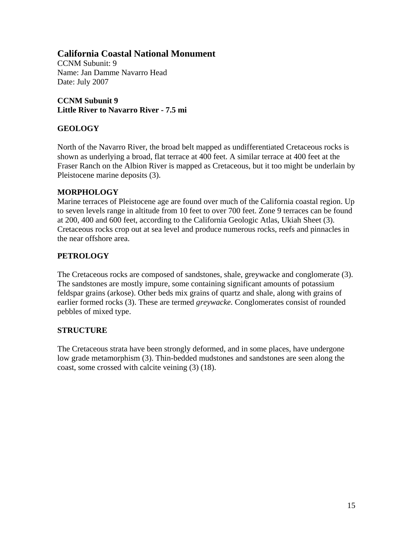CCNM Subunit: 9 Name: Jan Damme Navarro Head Date: July 2007

**CCNM Subunit 9 Little River to Navarro River - 7.5 mi** 

## **GEOLOGY**

North of the Navarro River, the broad belt mapped as undifferentiated Cretaceous rocks is shown as underlying a broad, flat terrace at 400 feet. A similar terrace at 400 feet at the Fraser Ranch on the Albion River is mapped as Cretaceous, but it too might be underlain by Pleistocene marine deposits (3).

#### **MORPHOLOGY**

Marine terraces of Pleistocene age are found over much of the California coastal region. Up to seven levels range in altitude from 10 feet to over 700 feet. Zone 9 terraces can be found at 200, 400 and 600 feet, according to the California Geologic Atlas, Ukiah Sheet (3). Cretaceous rocks crop out at sea level and produce numerous rocks, reefs and pinnacles in the near offshore area.

## **PETROLOGY**

The Cretaceous rocks are composed of sandstones, shale, greywacke and conglomerate (3). The sandstones are mostly impure, some containing significant amounts of potassium feldspar grains (arkose). Other beds mix grains of quartz and shale, along with grains of earlier formed rocks (3). These are termed *greywacke.* Conglomerates consist of rounded pebbles of mixed type.

## **STRUCTURE**

The Cretaceous strata have been strongly deformed, and in some places, have undergone low grade metamorphism (3). Thin-bedded mudstones and sandstones are seen along the coast, some crossed with calcite veining (3) (18).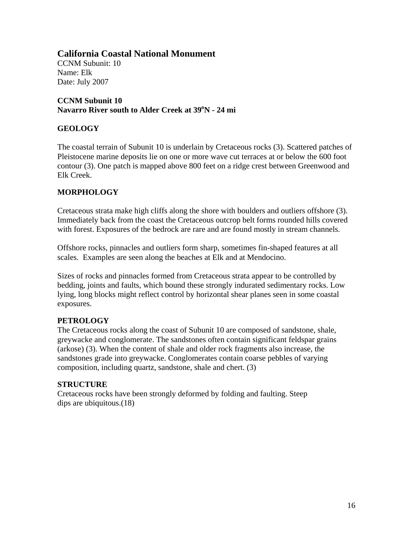CCNM Subunit: 10 Name: Elk Date: July 2007

**CCNM Subunit 10**  Navarro River south to Alder Creek at 39<sup>o</sup>N - 24 mi

## **GEOLOGY**

The coastal terrain of Subunit 10 is underlain by Cretaceous rocks (3). Scattered patches of Pleistocene marine deposits lie on one or more wave cut terraces at or below the 600 foot contour (3). One patch is mapped above 800 feet on a ridge crest between Greenwood and Elk Creek.

## **MORPHOLOGY**

Cretaceous strata make high cliffs along the shore with boulders and outliers offshore (3). Immediately back from the coast the Cretaceous outcrop belt forms rounded hills covered with forest. Exposures of the bedrock are rare and are found mostly in stream channels.

Offshore rocks, pinnacles and outliers form sharp, sometimes fin-shaped features at all scales. Examples are seen along the beaches at Elk and at Mendocino.

Sizes of rocks and pinnacles formed from Cretaceous strata appear to be controlled by bedding, joints and faults, which bound these strongly indurated sedimentary rocks. Low lying, long blocks might reflect control by horizontal shear planes seen in some coastal exposures.

## **PETROLOGY**

The Cretaceous rocks along the coast of Subunit 10 are composed of sandstone, shale, greywacke and conglomerate. The sandstones often contain significant feldspar grains (arkose) (3). When the content of shale and older rock fragments also increase, the sandstones grade into greywacke. Conglomerates contain coarse pebbles of varying composition, including quartz, sandstone, shale and chert. (3)

## **STRUCTURE**

Cretaceous rocks have been strongly deformed by folding and faulting. Steep dips are ubiquitous.(18)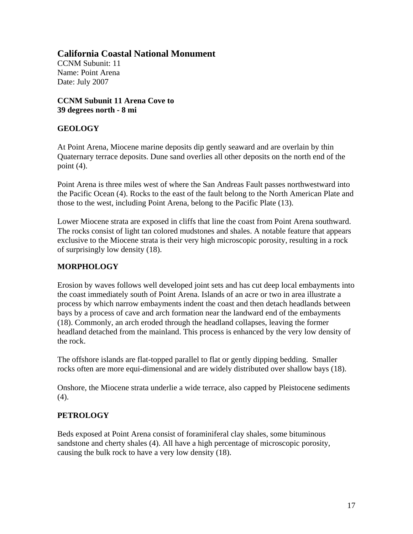CCNM Subunit: 11 Name: Point Arena Date: July 2007

**CCNM Subunit 11 Arena Cove to 39 degrees north - 8 mi** 

## **GEOLOGY**

At Point Arena, Miocene marine deposits dip gently seaward and are overlain by thin Quaternary terrace deposits. Dune sand overlies all other deposits on the north end of the point (4).

Point Arena is three miles west of where the San Andreas Fault passes northwestward into the Pacific Ocean (4). Rocks to the east of the fault belong to the North American Plate and those to the west, including Point Arena, belong to the Pacific Plate (13).

Lower Miocene strata are exposed in cliffs that line the coast from Point Arena southward. The rocks consist of light tan colored mudstones and shales. A notable feature that appears exclusive to the Miocene strata is their very high microscopic porosity, resulting in a rock of surprisingly low density (18).

## **MORPHOLOGY**

Erosion by waves follows well developed joint sets and has cut deep local embayments into the coast immediately south of Point Arena. Islands of an acre or two in area illustrate a process by which narrow embayments indent the coast and then detach headlands between bays by a process of cave and arch formation near the landward end of the embayments (18). Commonly, an arch eroded through the headland collapses, leaving the former headland detached from the mainland. This process is enhanced by the very low density of the rock.

The offshore islands are flat-topped parallel to flat or gently dipping bedding. Smaller rocks often are more equi-dimensional and are widely distributed over shallow bays (18).

Onshore, the Miocene strata underlie a wide terrace, also capped by Pleistocene sediments (4).

## **PETROLOGY**

Beds exposed at Point Arena consist of foraminiferal clay shales, some bituminous sandstone and cherty shales (4). All have a high percentage of microscopic porosity, causing the bulk rock to have a very low density (18).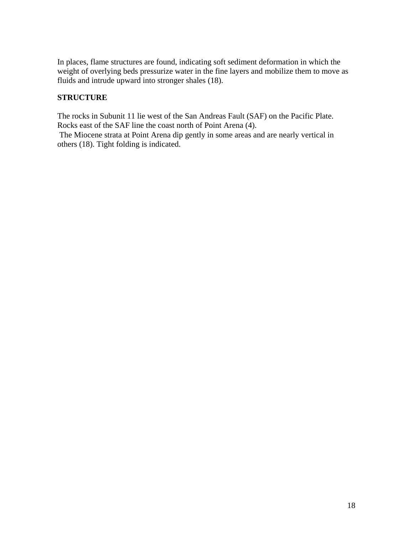In places, flame structures are found, indicating soft sediment deformation in which the weight of overlying beds pressurize water in the fine layers and mobilize them to move as fluids and intrude upward into stronger shales (18).

## **STRUCTURE**

The rocks in Subunit 11 lie west of the San Andreas Fault (SAF) on the Pacific Plate. Rocks east of the SAF line the coast north of Point Arena (4).

 The Miocene strata at Point Arena dip gently in some areas and are nearly vertical in others (18). Tight folding is indicated.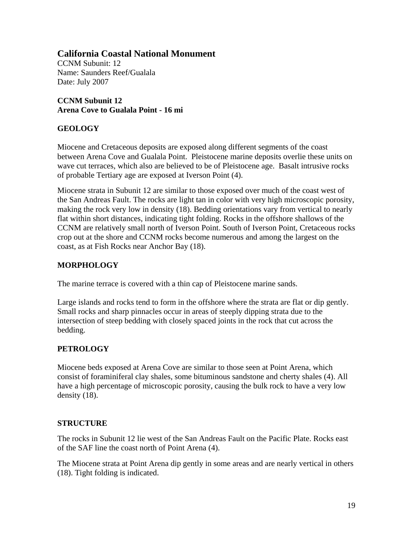CCNM Subunit: 12 Name: Saunders Reef/Gualala Date: July 2007

**CCNM Subunit 12 Arena Cove to Gualala Point - 16 mi** 

## **GEOLOGY**

Miocene and Cretaceous deposits are exposed along different segments of the coast between Arena Cove and Gualala Point. Pleistocene marine deposits overlie these units on wave cut terraces, which also are believed to be of Pleistocene age. Basalt intrusive rocks of probable Tertiary age are exposed at Iverson Point (4).

Miocene strata in Subunit 12 are similar to those exposed over much of the coast west of the San Andreas Fault. The rocks are light tan in color with very high microscopic porosity, making the rock very low in density (18). Bedding orientations vary from vertical to nearly flat within short distances, indicating tight folding. Rocks in the offshore shallows of the CCNM are relatively small north of Iverson Point. South of Iverson Point, Cretaceous rocks crop out at the shore and CCNM rocks become numerous and among the largest on the coast, as at Fish Rocks near Anchor Bay (18).

## **MORPHOLOGY**

The marine terrace is covered with a thin cap of Pleistocene marine sands.

Large islands and rocks tend to form in the offshore where the strata are flat or dip gently. Small rocks and sharp pinnacles occur in areas of steeply dipping strata due to the intersection of steep bedding with closely spaced joints in the rock that cut across the bedding.

## **PETROLOGY**

Miocene beds exposed at Arena Cove are similar to those seen at Point Arena, which consist of foraminiferal clay shales, some bituminous sandstone and cherty shales (4). All have a high percentage of microscopic porosity, causing the bulk rock to have a very low density (18).

## **STRUCTURE**

The rocks in Subunit 12 lie west of the San Andreas Fault on the Pacific Plate. Rocks east of the SAF line the coast north of Point Arena (4).

The Miocene strata at Point Arena dip gently in some areas and are nearly vertical in others (18). Tight folding is indicated.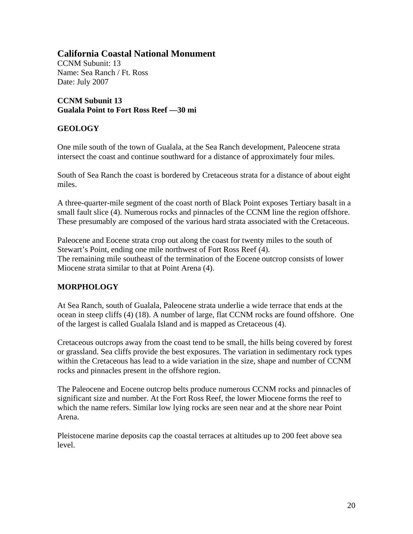CCNM Subunit: 13 Name: Sea Ranch / Ft. Ross Date: July 2007

**CCNM Subunit 13 Gualala Point to Fort Ross Reef —30 mi** 

## **GEOLOGY**

One mile south of the town of Gualala, at the Sea Ranch development, Paleocene strata intersect the coast and continue southward for a distance of approximately four miles.

South of Sea Ranch the coast is bordered by Cretaceous strata for a distance of about eight miles.

A three-quarter-mile segment of the coast north of Black Point exposes Tertiary basalt in a small fault slice (4). Numerous rocks and pinnacles of the CCNM line the region offshore. These presumably are composed of the various hard strata associated with the Cretaceous.

Paleocene and Eocene strata crop out along the coast for twenty miles to the south of Stewart's Point, ending one mile northwest of Fort Ross Reef (4). The remaining mile southeast of the termination of the Eocene outcrop consists of lower Miocene strata similar to that at Point Arena (4).

## **MORPHOLOGY**

At Sea Ranch, south of Gualala, Paleocene strata underlie a wide terrace that ends at the ocean in steep cliffs (4) (18). A number of large, flat CCNM rocks are found offshore. One of the largest is called Gualala Island and is mapped as Cretaceous (4).

Cretaceous outcrops away from the coast tend to be small, the hills being covered by forest or grassland. Sea cliffs provide the best exposures. The variation in sedimentary rock types within the Cretaceous has lead to a wide variation in the size, shape and number of CCNM rocks and pinnacles present in the offshore region.

The Paleocene and Eocene outcrop belts produce numerous CCNM rocks and pinnacles of significant size and number. At the Fort Ross Reef, the lower Miocene forms the reef to which the name refers. Similar low lying rocks are seen near and at the shore near Point Arena.

Pleistocene marine deposits cap the coastal terraces at altitudes up to 200 feet above sea level.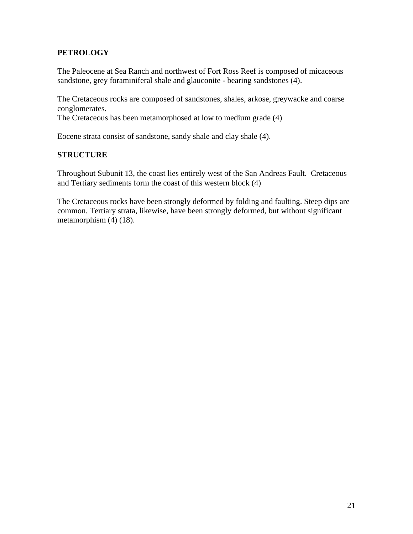## **PETROLOGY**

The Paleocene at Sea Ranch and northwest of Fort Ross Reef is composed of micaceous sandstone, grey foraminiferal shale and glauconite - bearing sandstones (4).

The Cretaceous rocks are composed of sandstones, shales, arkose, greywacke and coarse conglomerates.

The Cretaceous has been metamorphosed at low to medium grade (4)

Eocene strata consist of sandstone, sandy shale and clay shale (4).

#### **STRUCTURE**

Throughout Subunit 13, the coast lies entirely west of the San Andreas Fault. Cretaceous and Tertiary sediments form the coast of this western block (4)

The Cretaceous rocks have been strongly deformed by folding and faulting. Steep dips are common. Tertiary strata, likewise, have been strongly deformed, but without significant metamorphism (4) (18).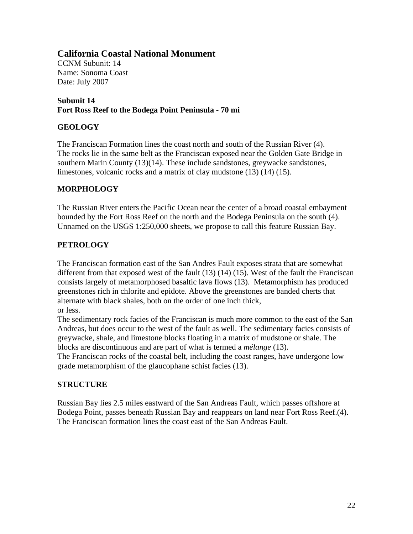CCNM Subunit: 14 Name: Sonoma Coast Date: July 2007

#### **Subunit 14 Fort Ross Reef to the Bodega Point Peninsula - 70 mi**

## **GEOLOGY**

The Franciscan Formation lines the coast north and south of the Russian River (4). The rocks lie in the same belt as the Franciscan exposed near the Golden Gate Bridge in southern Marin County (13)(14). These include sandstones, greywacke sandstones, limestones, volcanic rocks and a matrix of clay mudstone (13) (14) (15).

## **MORPHOLOGY**

The Russian River enters the Pacific Ocean near the center of a broad coastal embayment bounded by the Fort Ross Reef on the north and the Bodega Peninsula on the south (4). Unnamed on the USGS 1:250,000 sheets, we propose to call this feature Russian Bay.

## **PETROLOGY**

The Franciscan formation east of the San Andres Fault exposes strata that are somewhat different from that exposed west of the fault (13) (14) (15). West of the fault the Franciscan consists largely of metamorphosed basaltic lava flows (13). Metamorphism has produced greenstones rich in chlorite and epidote. Above the greenstones are banded cherts that alternate with black shales, both on the order of one inch thick, or less.

The sedimentary rock facies of the Franciscan is much more common to the east of the San Andreas, but does occur to the west of the fault as well. The sedimentary facies consists of greywacke, shale, and limestone blocks floating in a matrix of mudstone or shale. The blocks are discontinuous and are part of what is termed a *mélange* (13).

The Franciscan rocks of the coastal belt, including the coast ranges, have undergone low grade metamorphism of the glaucophane schist facies (13).

## **STRUCTURE**

Russian Bay lies 2.5 miles eastward of the San Andreas Fault, which passes offshore at Bodega Point, passes beneath Russian Bay and reappears on land near Fort Ross Reef.(4). The Franciscan formation lines the coast east of the San Andreas Fault.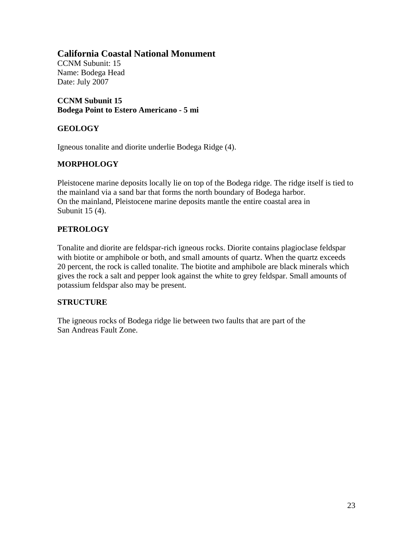CCNM Subunit: 15 Name: Bodega Head Date: July 2007

**CCNM Subunit 15 Bodega Point to Estero Americano - 5 mi** 

## **GEOLOGY**

Igneous tonalite and diorite underlie Bodega Ridge (4).

## **MORPHOLOGY**

Pleistocene marine deposits locally lie on top of the Bodega ridge. The ridge itself is tied to the mainland via a sand bar that forms the north boundary of Bodega harbor. On the mainland, Pleistocene marine deposits mantle the entire coastal area in Subunit 15 (4).

## **PETROLOGY**

Tonalite and diorite are feldspar-rich igneous rocks. Diorite contains plagioclase feldspar with biotite or amphibole or both, and small amounts of quartz. When the quartz exceeds 20 percent, the rock is called tonalite. The biotite and amphibole are black minerals which gives the rock a salt and pepper look against the white to grey feldspar. Small amounts of potassium feldspar also may be present.

## **STRUCTURE**

The igneous rocks of Bodega ridge lie between two faults that are part of the San Andreas Fault Zone.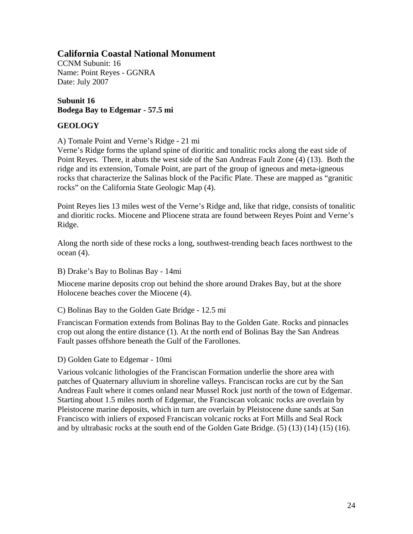CCNM Subunit: 16 Name: Point Reyes - GGNRA Date: July 2007

## **Subunit 16 Bodega Bay to Edgemar - 57.5 mi**

## **GEOLOGY**

A) Tomale Point and Verne's Ridge - 21 mi

Verne's Ridge forms the upland spine of dioritic and tonalitic rocks along the east side of Point Reyes. There, it abuts the west side of the San Andreas Fault Zone (4) (13). Both the ridge and its extension, Tomale Point, are part of the group of igneous and meta-igneous rocks that characterize the Salinas block of the Pacific Plate. These are mapped as "granitic rocks" on the California State Geologic Map (4).

Point Reyes lies 13 miles west of the Verne's Ridge and, like that ridge, consists of tonalitic and dioritic rocks. Miocene and Pliocene strata are found between Reyes Point and Verne's Ridge.

Along the north side of these rocks a long, southwest-trending beach faces northwest to the ocean (4).

B) Drake's Bay to Bolinas Bay - 14mi

Miocene marine deposits crop out behind the shore around Drakes Bay, but at the shore Holocene beaches cover the Miocene (4).

C) Bolinas Bay to the Golden Gate Bridge - 12.5 mi

Franciscan Formation extends from Bolinas Bay to the Golden Gate. Rocks and pinnacles crop out along the entire distance (1). At the north end of Bolinas Bay the San Andreas Fault passes offshore beneath the Gulf of the Farollones.

D) Golden Gate to Edgemar - 10mi

Various volcanic lithologies of the Franciscan Formation underlie the shore area with patches of Quaternary alluvium in shoreline valleys. Franciscan rocks are cut by the San Andreas Fault where it comes onland near Mussel Rock just north of the town of Edgemar. Starting about 1.5 miles north of Edgemar, the Franciscan volcanic rocks are overlain by Pleistocene marine deposits, which in turn are overlain by Pleistocene dune sands at San Francisco with inliers of exposed Franciscan volcanic rocks at Fort Mills and Seal Rock and by ultrabasic rocks at the south end of the Golden Gate Bridge. (5) (13) (14) (15) (16).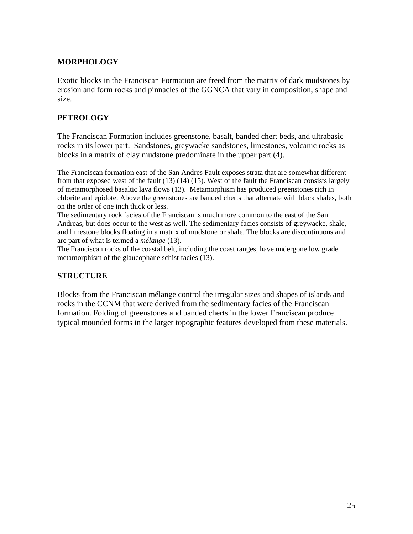## **MORPHOLOGY**

Exotic blocks in the Franciscan Formation are freed from the matrix of dark mudstones by erosion and form rocks and pinnacles of the GGNCA that vary in composition, shape and size.

## **PETROLOGY**

The Franciscan Formation includes greenstone, basalt, banded chert beds, and ultrabasic rocks in its lower part. Sandstones, greywacke sandstones, limestones, volcanic rocks as blocks in a matrix of clay mudstone predominate in the upper part (4).

The Franciscan formation east of the San Andres Fault exposes strata that are somewhat different from that exposed west of the fault (13) (14) (15). West of the fault the Franciscan consists largely of metamorphosed basaltic lava flows (13). Metamorphism has produced greenstones rich in chlorite and epidote. Above the greenstones are banded cherts that alternate with black shales, both on the order of one inch thick or less.

The sedimentary rock facies of the Franciscan is much more common to the east of the San Andreas, but does occur to the west as well. The sedimentary facies consists of greywacke, shale, and limestone blocks floating in a matrix of mudstone or shale. The blocks are discontinuous and are part of what is termed a *mélange* (13).

The Franciscan rocks of the coastal belt, including the coast ranges, have undergone low grade metamorphism of the glaucophane schist facies (13).

## **STRUCTURE**

Blocks from the Franciscan mélange control the irregular sizes and shapes of islands and rocks in the CCNM that were derived from the sedimentary facies of the Franciscan formation. Folding of greenstones and banded cherts in the lower Franciscan produce typical mounded forms in the larger topographic features developed from these materials.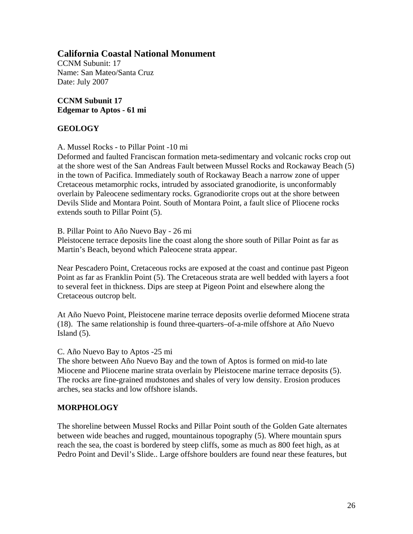CCNM Subunit: 17 Name: San Mateo/Santa Cruz Date: July 2007

#### **CCNM Subunit 17 Edgemar to Aptos - 61 mi**

#### **GEOLOGY**

A. Mussel Rocks - to Pillar Point -10 mi

Deformed and faulted Franciscan formation meta-sedimentary and volcanic rocks crop out at the shore west of the San Andreas Fault between Mussel Rocks and Rockaway Beach (5) in the town of Pacifica. Immediately south of Rockaway Beach a narrow zone of upper Cretaceous metamorphic rocks, intruded by associated granodiorite, is unconformably overlain by Paleocene sedimentary rocks. Ggranodiorite crops out at the shore between Devils Slide and Montara Point. South of Montara Point, a fault slice of Pliocene rocks extends south to Pillar Point (5).

B. Pillar Point to Año Nuevo Bay - 26 mi

Pleistocene terrace deposits line the coast along the shore south of Pillar Point as far as Martin's Beach, beyond which Paleocene strata appear.

Near Pescadero Point, Cretaceous rocks are exposed at the coast and continue past Pigeon Point as far as Franklin Point (5). The Cretaceous strata are well bedded with layers a foot to several feet in thickness. Dips are steep at Pigeon Point and elsewhere along the Cretaceous outcrop belt.

At Año Nuevo Point, Pleistocene marine terrace deposits overlie deformed Miocene strata (18). The same relationship is found three-quarters–of-a-mile offshore at Año Nuevo Island  $(5)$ .

#### C. Año Nuevo Bay to Aptos -25 mi

The shore between Año Nuevo Bay and the town of Aptos is formed on mid-to late Miocene and Pliocene marine strata overlain by Pleistocene marine terrace deposits (5). The rocks are fine-grained mudstones and shales of very low density. Erosion produces arches, sea stacks and low offshore islands.

## **MORPHOLOGY**

The shoreline between Mussel Rocks and Pillar Point south of the Golden Gate alternates between wide beaches and rugged, mountainous topography (5). Where mountain spurs reach the sea, the coast is bordered by steep cliffs, some as much as 800 feet high, as at Pedro Point and Devil's Slide.. Large offshore boulders are found near these features, but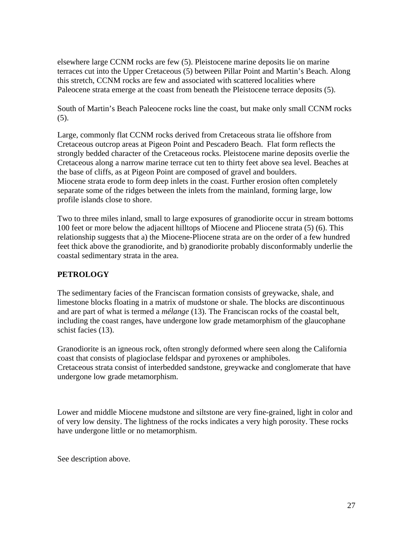elsewhere large CCNM rocks are few (5). Pleistocene marine deposits lie on marine terraces cut into the Upper Cretaceous (5) between Pillar Point and Martin's Beach. Along this stretch, CCNM rocks are few and associated with scattered localities where Paleocene strata emerge at the coast from beneath the Pleistocene terrace deposits (5).

South of Martin's Beach Paleocene rocks line the coast, but make only small CCNM rocks (5).

Large, commonly flat CCNM rocks derived from Cretaceous strata lie offshore from Cretaceous outcrop areas at Pigeon Point and Pescadero Beach. Flat form reflects the strongly bedded character of the Cretaceous rocks. Pleistocene marine deposits overlie the Cretaceous along a narrow marine terrace cut ten to thirty feet above sea level. Beaches at the base of cliffs, as at Pigeon Point are composed of gravel and boulders. Miocene strata erode to form deep inlets in the coast. Further erosion often completely separate some of the ridges between the inlets from the mainland, forming large, low profile islands close to shore.

Two to three miles inland, small to large exposures of granodiorite occur in stream bottoms 100 feet or more below the adjacent hilltops of Miocene and Pliocene strata (5) (6). This relationship suggests that a) the Miocene-Pliocene strata are on the order of a few hundred feet thick above the granodiorite, and b) granodiorite probably disconformably underlie the coastal sedimentary strata in the area.

## **PETROLOGY**

The sedimentary facies of the Franciscan formation consists of greywacke, shale, and limestone blocks floating in a matrix of mudstone or shale. The blocks are discontinuous and are part of what is termed a *mélange* (13). The Franciscan rocks of the coastal belt, including the coast ranges, have undergone low grade metamorphism of the glaucophane schist facies (13).

Granodiorite is an igneous rock, often strongly deformed where seen along the California coast that consists of plagioclase feldspar and pyroxenes or amphiboles. Cretaceous strata consist of interbedded sandstone, greywacke and conglomerate that have undergone low grade metamorphism.

Lower and middle Miocene mudstone and siltstone are very fine-grained, light in color and of very low density. The lightness of the rocks indicates a very high porosity. These rocks have undergone little or no metamorphism.

See description above.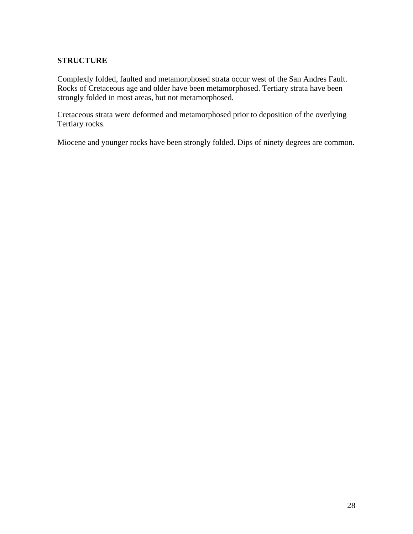## **STRUCTURE**

Complexly folded, faulted and metamorphosed strata occur west of the San Andres Fault. Rocks of Cretaceous age and older have been metamorphosed. Tertiary strata have been strongly folded in most areas, but not metamorphosed.

Cretaceous strata were deformed and metamorphosed prior to deposition of the overlying Tertiary rocks.

Miocene and younger rocks have been strongly folded. Dips of ninety degrees are common.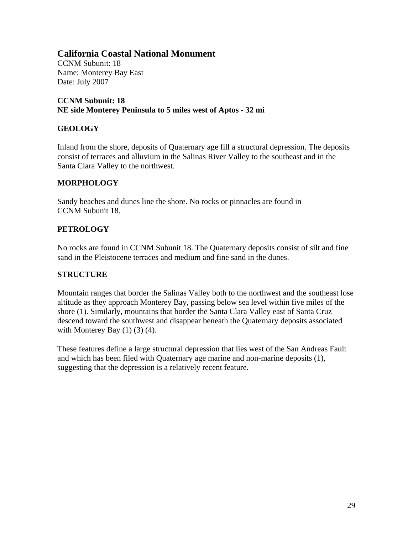CCNM Subunit: 18 Name: Monterey Bay East Date: July 2007

**CCNM Subunit: 18 NE side Monterey Peninsula to 5 miles west of Aptos - 32 mi** 

#### **GEOLOGY**

Inland from the shore, deposits of Quaternary age fill a structural depression. The deposits consist of terraces and alluvium in the Salinas River Valley to the southeast and in the Santa Clara Valley to the northwest.

#### **MORPHOLOGY**

Sandy beaches and dunes line the shore. No rocks or pinnacles are found in CCNM Subunit 18.

#### **PETROLOGY**

No rocks are found in CCNM Subunit 18. The Quaternary deposits consist of silt and fine sand in the Pleistocene terraces and medium and fine sand in the dunes.

## **STRUCTURE**

Mountain ranges that border the Salinas Valley both to the northwest and the southeast lose altitude as they approach Monterey Bay, passing below sea level within five miles of the shore (1). Similarly, mountains that border the Santa Clara Valley east of Santa Cruz descend toward the southwest and disappear beneath the Quaternary deposits associated with Monterey Bay  $(1)$   $(3)$   $(4)$ .

These features define a large structural depression that lies west of the San Andreas Fault and which has been filed with Quaternary age marine and non-marine deposits (1), suggesting that the depression is a relatively recent feature.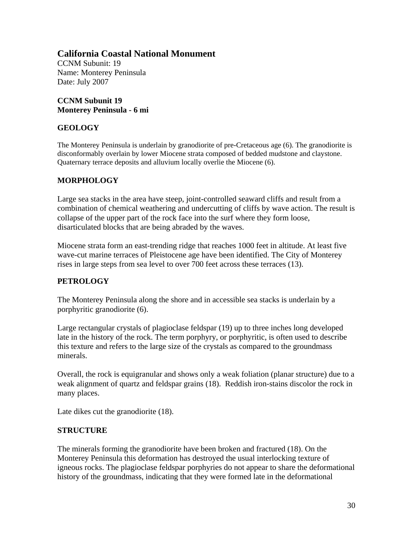CCNM Subunit: 19 Name: Monterey Peninsula Date: July 2007

## **CCNM Subunit 19 Monterey Peninsula - 6 mi**

## **GEOLOGY**

The Monterey Peninsula is underlain by granodiorite of pre-Cretaceous age (6). The granodiorite is disconformably overlain by lower Miocene strata composed of bedded mudstone and claystone. Quaternary terrace deposits and alluvium locally overlie the Miocene (6).

## **MORPHOLOGY**

Large sea stacks in the area have steep, joint-controlled seaward cliffs and result from a combination of chemical weathering and undercutting of cliffs by wave action. The result is collapse of the upper part of the rock face into the surf where they form loose, disarticulated blocks that are being abraded by the waves.

Miocene strata form an east-trending ridge that reaches 1000 feet in altitude. At least five wave-cut marine terraces of Pleistocene age have been identified. The City of Monterey rises in large steps from sea level to over 700 feet across these terraces (13).

## **PETROLOGY**

The Monterey Peninsula along the shore and in accessible sea stacks is underlain by a porphyritic granodiorite (6).

Large rectangular crystals of plagioclase feldspar (19) up to three inches long developed late in the history of the rock. The term porphyry, or porphyritic, is often used to describe this texture and refers to the large size of the crystals as compared to the groundmass minerals.

Overall, the rock is equigranular and shows only a weak foliation (planar structure) due to a weak alignment of quartz and feldspar grains (18). Reddish iron-stains discolor the rock in many places.

Late dikes cut the granodiorite (18).

## **STRUCTURE**

The minerals forming the granodiorite have been broken and fractured (18). On the Monterey Peninsula this deformation has destroyed the usual interlocking texture of igneous rocks. The plagioclase feldspar porphyries do not appear to share the deformational history of the groundmass, indicating that they were formed late in the deformational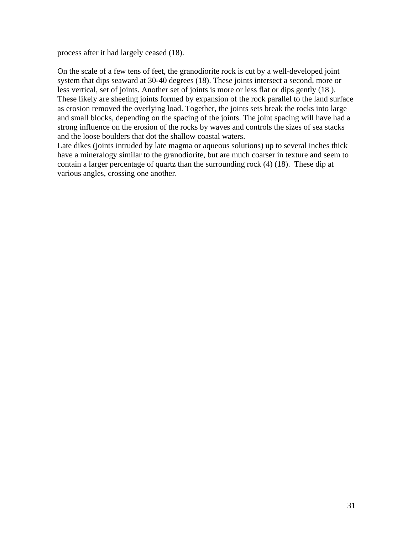process after it had largely ceased (18).

On the scale of a few tens of feet, the granodiorite rock is cut by a well-developed joint system that dips seaward at 30-40 degrees (18). These joints intersect a second, more or less vertical, set of joints. Another set of joints is more or less flat or dips gently (18 ). These likely are sheeting joints formed by expansion of the rock parallel to the land surface as erosion removed the overlying load. Together, the joints sets break the rocks into large and small blocks, depending on the spacing of the joints. The joint spacing will have had a strong influence on the erosion of the rocks by waves and controls the sizes of sea stacks and the loose boulders that dot the shallow coastal waters.

Late dikes (joints intruded by late magma or aqueous solutions) up to several inches thick have a mineralogy similar to the granodiorite, but are much coarser in texture and seem to contain a larger percentage of quartz than the surrounding rock (4) (18). These dip at various angles, crossing one another.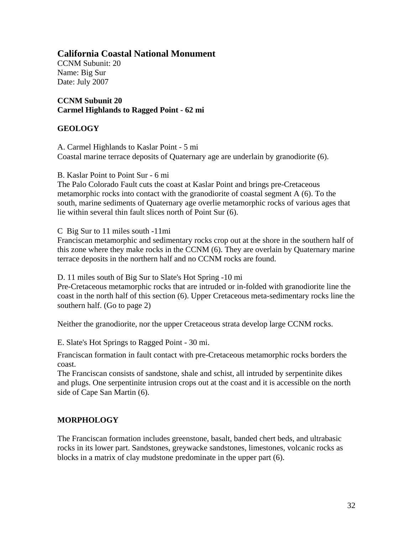CCNM Subunit: 20 Name: Big Sur Date: July 2007

**CCNM Subunit 20 Carmel Highlands to Ragged Point - 62 mi** 

## **GEOLOGY**

A. Carmel Highlands to Kaslar Point - 5 mi Coastal marine terrace deposits of Quaternary age are underlain by granodiorite (6).

B. Kaslar Point to Point Sur - 6 mi

The Palo Colorado Fault cuts the coast at Kaslar Point and brings pre-Cretaceous metamorphic rocks into contact with the granodiorite of coastal segment A (6). To the south, marine sediments of Quaternary age overlie metamorphic rocks of various ages that lie within several thin fault slices north of Point Sur (6).

C Big Sur to 11 miles south -11mi

Franciscan metamorphic and sedimentary rocks crop out at the shore in the southern half of this zone where they make rocks in the CCNM (6). They are overlain by Quaternary marine terrace deposits in the northern half and no CCNM rocks are found.

D. 11 miles south of Big Sur to Slate's Hot Spring -10 mi

Pre-Cretaceous metamorphic rocks that are intruded or in-folded with granodiorite line the coast in the north half of this section (6). Upper Cretaceous meta-sedimentary rocks line the southern half. (Go to page 2)

Neither the granodiorite, nor the upper Cretaceous strata develop large CCNM rocks.

E. Slate's Hot Springs to Ragged Point - 30 mi.

Franciscan formation in fault contact with pre-Cretaceous metamorphic rocks borders the coast.

The Franciscan consists of sandstone, shale and schist, all intruded by serpentinite dikes and plugs. One serpentinite intrusion crops out at the coast and it is accessible on the north side of Cape San Martin (6).

## **MORPHOLOGY**

The Franciscan formation includes greenstone, basalt, banded chert beds, and ultrabasic rocks in its lower part. Sandstones, greywacke sandstones, limestones, volcanic rocks as blocks in a matrix of clay mudstone predominate in the upper part (6).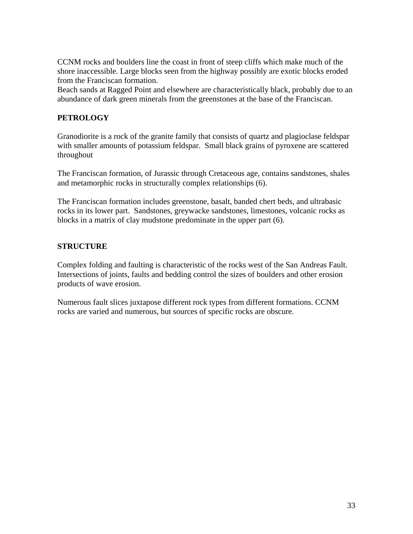CCNM rocks and boulders line the coast in front of steep cliffs which make much of the shore inaccessible. Large blocks seen from the highway possibly are exotic blocks eroded from the Franciscan formation.

Beach sands at Ragged Point and elsewhere are characteristically black, probably due to an abundance of dark green minerals from the greenstones at the base of the Franciscan.

#### **PETROLOGY**

Granodiorite is a rock of the granite family that consists of quartz and plagioclase feldspar with smaller amounts of potassium feldspar. Small black grains of pyroxene are scattered throughout

The Franciscan formation, of Jurassic through Cretaceous age, contains sandstones, shales and metamorphic rocks in structurally complex relationships (6).

The Franciscan formation includes greenstone, basalt, banded chert beds, and ultrabasic rocks in its lower part. Sandstones, greywacke sandstones, limestones, volcanic rocks as blocks in a matrix of clay mudstone predominate in the upper part (6).

#### **STRUCTURE**

Complex folding and faulting is characteristic of the rocks west of the San Andreas Fault. Intersections of joints, faults and bedding control the sizes of boulders and other erosion products of wave erosion.

Numerous fault slices juxtapose different rock types from different formations. CCNM rocks are varied and numerous, but sources of specific rocks are obscure.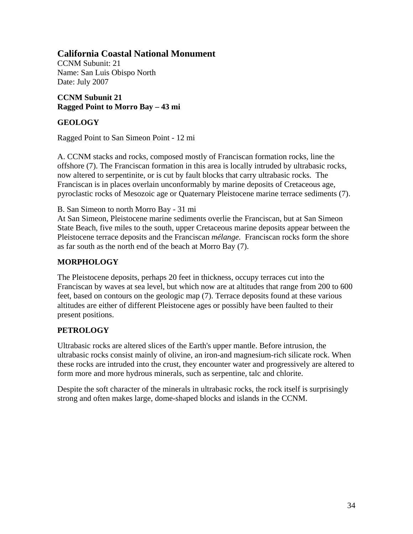CCNM Subunit: 21 Name: San Luis Obispo North Date: July 2007

## **CCNM Subunit 21 Ragged Point to Morro Bay – 43 mi**

## **GEOLOGY**

Ragged Point to San Simeon Point - 12 mi

A. CCNM stacks and rocks, composed mostly of Franciscan formation rocks, line the offshore (7). The Franciscan formation in this area is locally intruded by ultrabasic rocks, now altered to serpentinite, or is cut by fault blocks that carry ultrabasic rocks. The Franciscan is in places overlain unconformably by marine deposits of Cretaceous age, pyroclastic rocks of Mesozoic age or Quaternary Pleistocene marine terrace sediments (7).

B. San Simeon to north Morro Bay - 31 mi

At San Simeon, Pleistocene marine sediments overlie the Franciscan, but at San Simeon State Beach, five miles to the south, upper Cretaceous marine deposits appear between the Pleistocene terrace deposits and the Franciscan *mélange.* Franciscan rocks form the shore as far south as the north end of the beach at Morro Bay (7).

## **MORPHOLOGY**

The Pleistocene deposits, perhaps 20 feet in thickness, occupy terraces cut into the Franciscan by waves at sea level, but which now are at altitudes that range from 200 to 600 feet, based on contours on the geologic map (7). Terrace deposits found at these various altitudes are either of different Pleistocene ages or possibly have been faulted to their present positions.

## **PETROLOGY**

Ultrabasic rocks are altered slices of the Earth's upper mantle. Before intrusion, the ultrabasic rocks consist mainly of olivine, an iron-and magnesium-rich silicate rock. When these rocks are intruded into the crust, they encounter water and progressively are altered to form more and more hydrous minerals, such as serpentine, talc and chlorite.

Despite the soft character of the minerals in ultrabasic rocks, the rock itself is surprisingly strong and often makes large, dome-shaped blocks and islands in the CCNM.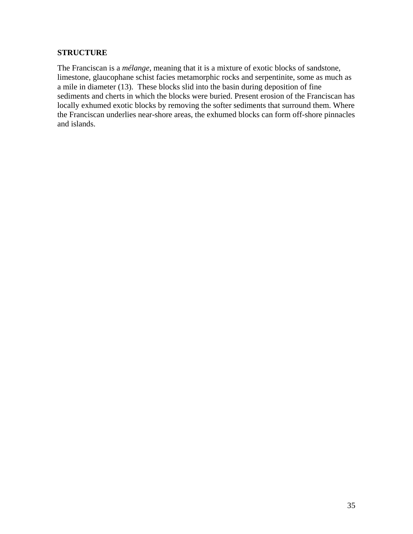#### **STRUCTURE**

The Franciscan is a *mélange*, meaning that it is a mixture of exotic blocks of sandstone, limestone, glaucophane schist facies metamorphic rocks and serpentinite, some as much as a mile in diameter (13). These blocks slid into the basin during deposition of fine sediments and cherts in which the blocks were buried. Present erosion of the Franciscan has locally exhumed exotic blocks by removing the softer sediments that surround them. Where the Franciscan underlies near-shore areas, the exhumed blocks can form off-shore pinnacles and islands.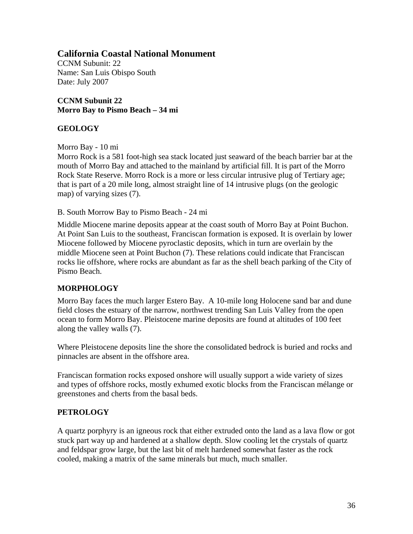CCNM Subunit: 22 Name: San Luis Obispo South Date: July 2007

**CCNM Subunit 22 Morro Bay to Pismo Beach – 34 mi** 

## **GEOLOGY**

Morro Bay - 10 mi

Morro Rock is a 581 foot-high sea stack located just seaward of the beach barrier bar at the mouth of Morro Bay and attached to the mainland by artificial fill. It is part of the Morro Rock State Reserve. Morro Rock is a more or less circular intrusive plug of Tertiary age; that is part of a 20 mile long, almost straight line of 14 intrusive plugs (on the geologic map) of varying sizes (7).

B. South Morrow Bay to Pismo Beach - 24 mi

Middle Miocene marine deposits appear at the coast south of Morro Bay at Point Buchon. At Point San Luis to the southeast, Franciscan formation is exposed. It is overlain by lower Miocene followed by Miocene pyroclastic deposits, which in turn are overlain by the middle Miocene seen at Point Buchon (7). These relations could indicate that Franciscan rocks lie offshore, where rocks are abundant as far as the shell beach parking of the City of Pismo Beach.

## **MORPHOLOGY**

Morro Bay faces the much larger Estero Bay. A 10-mile long Holocene sand bar and dune field closes the estuary of the narrow, northwest trending San Luis Valley from the open ocean to form Morro Bay. Pleistocene marine deposits are found at altitudes of 100 feet along the valley walls (7).

Where Pleistocene deposits line the shore the consolidated bedrock is buried and rocks and pinnacles are absent in the offshore area.

Franciscan formation rocks exposed onshore will usually support a wide variety of sizes and types of offshore rocks, mostly exhumed exotic blocks from the Franciscan mélange or greenstones and cherts from the basal beds.

## **PETROLOGY**

A quartz porphyry is an igneous rock that either extruded onto the land as a lava flow or got stuck part way up and hardened at a shallow depth. Slow cooling let the crystals of quartz and feldspar grow large, but the last bit of melt hardened somewhat faster as the rock cooled, making a matrix of the same minerals but much, much smaller.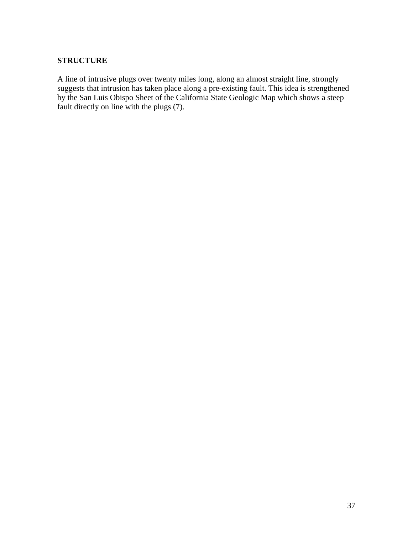## **STRUCTURE**

A line of intrusive plugs over twenty miles long, along an almost straight line, strongly suggests that intrusion has taken place along a pre-existing fault. This idea is strengthened by the San Luis Obispo Sheet of the California State Geologic Map which shows a steep fault directly on line with the plugs (7).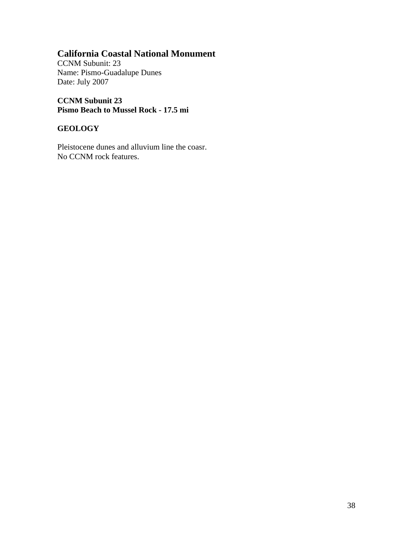CCNM Subunit: 23 Name: Pismo-Guadalupe Dunes Date: July 2007

**CCNM Subunit 23 Pismo Beach to Mussel Rock - 17.5 mi** 

## **GEOLOGY**

Pleistocene dunes and alluvium line the coasr. No CCNM rock features.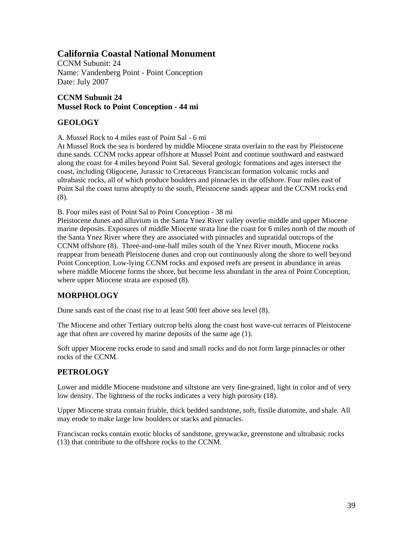CCNM Subunit: 24 Name: Vandenberg Point - Point Conception Date: July 2007

## **CCNM Subunit 24 Mussel Rock to Point Conception - 44 mi**

## **GEOLOGY**

A. Mussel Rock to 4 miles east of Point Sal - 6 mi

At Mussel Rock the sea is bordered by middle Miocene strata overlain to the east by Pleistocene dune sands. CCNM rocks appear offshore at Mussel Point and continue southward and eastward along the coast for 4 miles beyond Point Sal. Several geologic formations and ages intersect the coast, including Oligocene, Jurassic to Cretaceous Franciscan formation volcanic rocks and ultrabasic rocks, all of which produce boulders and pinnacles in the offshore. Four miles east of Point Sal the coast turns abruptly to the south, Pleistocene sands appear and the CCNM rocks end (8).

B. Four miles east of Point Sal to Point Conception - 38 mi

Pleistocene dunes and alluvium in the Santa Ynez River valley overlie middle and upper Miocene marine deposits. Exposures of middle Miocene strata line the coast for 6 miles north of the mouth of the Santa Ynez River where they are associated with pinnacles and supratidal outcrops of the CCNM offshore (8). Three-and-one-half miles south of the Ynez River mouth, Miocene rocks reappear from beneath Pleistocene dunes and crop out continuously along the shore to well beyond Point Conception. Low-lying CCNM rocks and exposed reefs are present in abundance in areas where middle Miocene forms the shore, but become less abundant in the area of Point Conception, where upper Miocene strata are exposed (8).

## **MORPHOLOGY**

Dune sands east of the coast rise to at least 500 feet above sea level (8).

The Miocene and other Tertiary outcrop belts along the coast host wave-cut terraces of Pleistocene age that often are covered by marine deposits of the same age (1).

Soft upper Miocene rocks erode to sand and small rocks and do not form large pinnacles or other rocks of the CCNM.

## **PETROLOGY**

Lower and middle Miocene mudstone and siltstone are very fine-grained, light in color and of very low density. The lightness of the rocks indicates a very high porosity (18).

Upper Miocene strata contain friable, thick bedded sandstone, soft, fissile diatomite, and shale. All may erode to make large low boulders or stacks and pinnacles.

Franciscan rocks contain exotic blocks of sandstone, greywacke, greenstone and ultrabasic rocks (13) that contribute to the offshore rocks to the CCNM.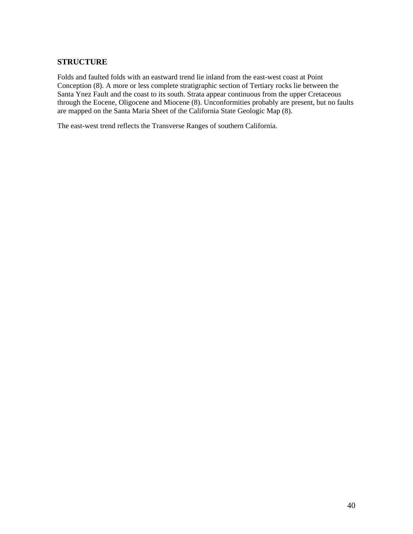#### **STRUCTURE**

Folds and faulted folds with an eastward trend lie inland from the east-west coast at Point Conception (8). A more or less complete stratigraphic section of Tertiary rocks lie between the Santa Ynez Fault and the coast to its south. Strata appear continuous from the upper Cretaceous through the Eocene, Oligocene and Miocene (8). Unconformities probably are present, but no faults are mapped on the Santa Maria Sheet of the California State Geologic Map (8).

The east-west trend reflects the Transverse Ranges of southern California.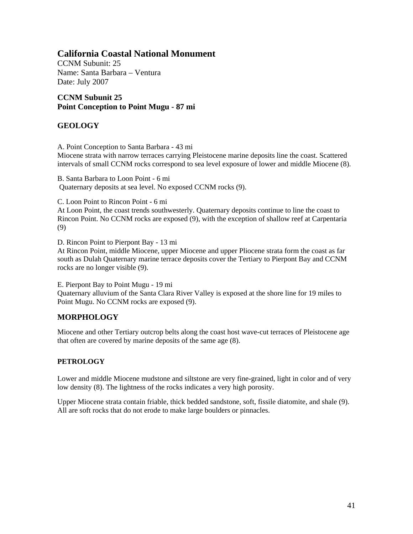CCNM Subunit: 25 Name: Santa Barbara – Ventura Date: July 2007

## **CCNM Subunit 25 Point Conception to Point Mugu - 87 mi**

## **GEOLOGY**

A. Point Conception to Santa Barbara - 43 mi

Miocene strata with narrow terraces carrying Pleistocene marine deposits line the coast. Scattered intervals of small CCNM rocks correspond to sea level exposure of lower and middle Miocene (8).

B. Santa Barbara to Loon Point - 6 mi Quaternary deposits at sea level. No exposed CCNM rocks (9).

C. Loon Point to Rincon Point - 6 mi

At Loon Point, the coast trends southwesterly. Quaternary deposits continue to line the coast to Rincon Point. No CCNM rocks are exposed (9), with the exception of shallow reef at Carpentaria (9)

D. Rincon Point to Pierpont Bay - 13 mi

At Rincon Point, middle Miocene, upper Miocene and upper Pliocene strata form the coast as far south as Dulah Quaternary marine terrace deposits cover the Tertiary to Pierpont Bay and CCNM rocks are no longer visible (9).

E. Pierpont Bay to Point Mugu - 19 mi Quaternary alluvium of the Santa Clara River Valley is exposed at the shore line for 19 miles to Point Mugu. No CCNM rocks are exposed (9).

## **MORPHOLOGY**

Miocene and other Tertiary outcrop belts along the coast host wave-cut terraces of Pleistocene age that often are covered by marine deposits of the same age (8).

## **PETROLOGY**

Lower and middle Miocene mudstone and siltstone are very fine-grained, light in color and of very low density (8). The lightness of the rocks indicates a very high porosity.

Upper Miocene strata contain friable, thick bedded sandstone, soft, fissile diatomite, and shale (9). All are soft rocks that do not erode to make large boulders or pinnacles.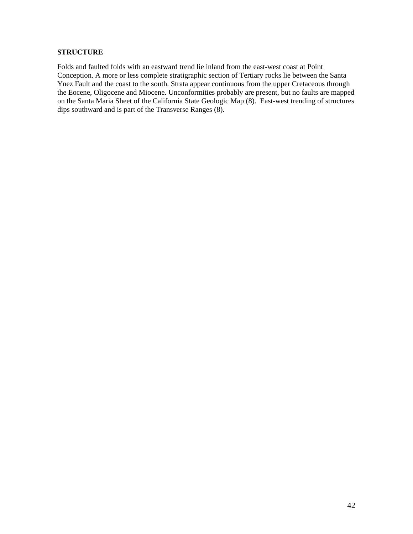#### **STRUCTURE**

Folds and faulted folds with an eastward trend lie inland from the east-west coast at Point Conception. A more or less complete stratigraphic section of Tertiary rocks lie between the Santa Ynez Fault and the coast to the south. Strata appear continuous from the upper Cretaceous through the Eocene, Oligocene and Miocene. Unconformities probably are present, but no faults are mapped on the Santa Maria Sheet of the California State Geologic Map (8). East-west trending of structures dips southward and is part of the Transverse Ranges (8).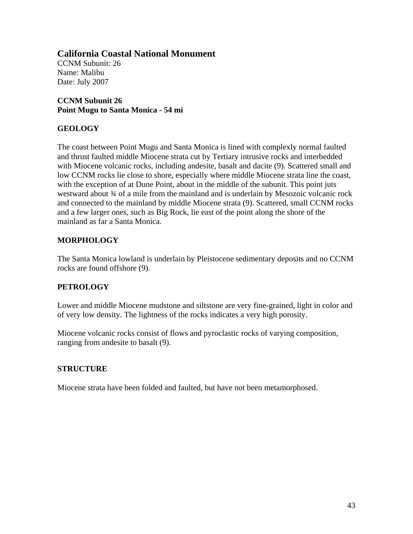CCNM Subunit: 26 Name: Malibu Date: July 2007

**CCNM Subunit 26 Point Mugu to Santa Monica - 54 mi** 

## **GEOLOGY**

The coast between Point Mugu and Santa Monica is lined with complexly normal faulted and thrust faulted middle Miocene strata cut by Tertiary intrusive rocks and interbedded with Miocene volcanic rocks, including andesite, basalt and dacite (9). Scattered small and low CCNM rocks lie close to shore, especially where middle Miocene strata line the coast, with the exception of at Dune Point, about in the middle of the subunit. This point juts westward about  $\frac{3}{4}$  of a mile from the mainland and is underlain by Mesozoic volcanic rock and connected to the mainland by middle Miocene strata (9). Scattered, small CCNM rocks and a few larger ones, such as Big Rock, lie east of the point along the shore of the mainland as far a Santa Monica.

## **MORPHOLOGY**

The Santa Monica lowland is underlain by Pleistocene sedimentary deposits and no CCNM rocks are found offshore (9).

## **PETROLOGY**

Lower and middle Miocene mudstone and siltstone are very fine-grained, light in color and of very low density. The lightness of the rocks indicates a very high porosity.

Miocene volcanic rocks consist of flows and pyroclastic rocks of varying composition, ranging from andesite to basalt (9).

## **STRUCTURE**

Miocene strata have been folded and faulted, but have not been metamorphosed.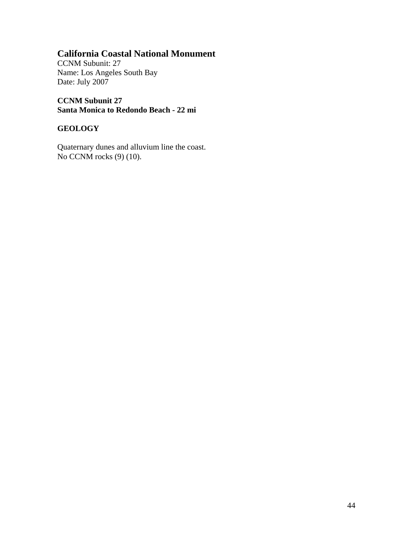CCNM Subunit: 27 Name: Los Angeles South Bay Date: July 2007

**CCNM Subunit 27 Santa Monica to Redondo Beach - 22 mi** 

## **GEOLOGY**

Quaternary dunes and alluvium line the coast. No CCNM rocks (9) (10).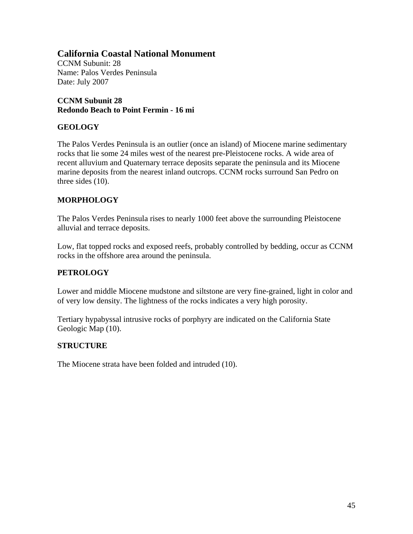CCNM Subunit: 28 Name: Palos Verdes Peninsula Date: July 2007

## **CCNM Subunit 28 Redondo Beach to Point Fermin - 16 mi**

## **GEOLOGY**

The Palos Verdes Peninsula is an outlier (once an island) of Miocene marine sedimentary rocks that lie some 24 miles west of the nearest pre-Pleistocene rocks. A wide area of recent alluvium and Quaternary terrace deposits separate the peninsula and its Miocene marine deposits from the nearest inland outcrops. CCNM rocks surround San Pedro on three sides (10).

## **MORPHOLOGY**

The Palos Verdes Peninsula rises to nearly 1000 feet above the surrounding Pleistocene alluvial and terrace deposits.

Low, flat topped rocks and exposed reefs, probably controlled by bedding, occur as CCNM rocks in the offshore area around the peninsula.

## **PETROLOGY**

Lower and middle Miocene mudstone and siltstone are very fine-grained, light in color and of very low density. The lightness of the rocks indicates a very high porosity.

Tertiary hypabyssal intrusive rocks of porphyry are indicated on the California State Geologic Map (10).

## **STRUCTURE**

The Miocene strata have been folded and intruded (10).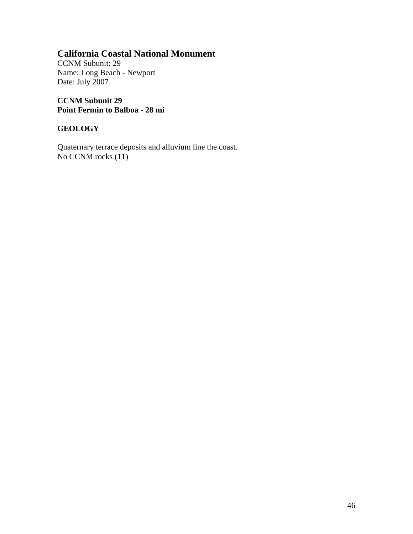CCNM Subunit: 29 Name: Long Beach - Newport Date: July 2007

**CCNM Subunit 29 Point Fermin to Balboa - 28 mi** 

## **GEOLOGY**

Quaternary terrace deposits and alluvium line the coast. No CCNM rocks  $(11)$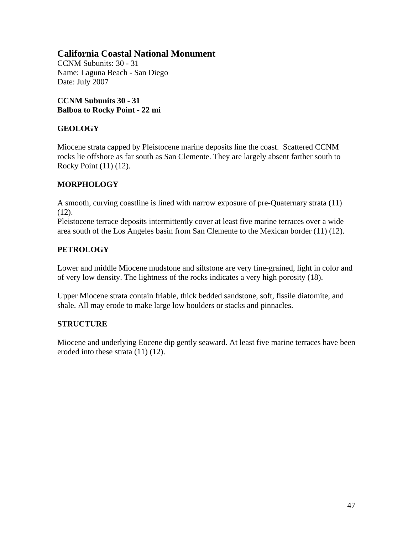CCNM Subunits: 30 - 31 Name: Laguna Beach - San Diego Date: July 2007

**CCNM Subunits 30 - 31 Balboa to Rocky Point - 22 mi** 

## **GEOLOGY**

Miocene strata capped by Pleistocene marine deposits line the coast. Scattered CCNM rocks lie offshore as far south as San Clemente. They are largely absent farther south to Rocky Point (11) (12).

## **MORPHOLOGY**

A smooth, curving coastline is lined with narrow exposure of pre-Quaternary strata (11)  $(12)$ .

Pleistocene terrace deposits intermittently cover at least five marine terraces over a wide area south of the Los Angeles basin from San Clemente to the Mexican border (11) (12).

## **PETROLOGY**

Lower and middle Miocene mudstone and siltstone are very fine-grained, light in color and of very low density. The lightness of the rocks indicates a very high porosity (18).

Upper Miocene strata contain friable, thick bedded sandstone, soft, fissile diatomite, and shale. All may erode to make large low boulders or stacks and pinnacles.

## **STRUCTURE**

Miocene and underlying Eocene dip gently seaward. At least five marine terraces have been eroded into these strata (11) (12).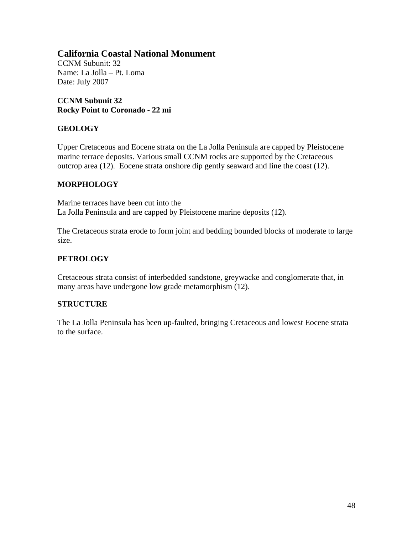CCNM Subunit: 32 Name: La Jolla – Pt. Loma Date: July 2007

**CCNM Subunit 32 Rocky Point to Coronado - 22 mi** 

## **GEOLOGY**

Upper Cretaceous and Eocene strata on the La Jolla Peninsula are capped by Pleistocene marine terrace deposits. Various small CCNM rocks are supported by the Cretaceous outcrop area (12). Eocene strata onshore dip gently seaward and line the coast (12).

#### **MORPHOLOGY**

Marine terraces have been cut into the La Jolla Peninsula and are capped by Pleistocene marine deposits (12).

The Cretaceous strata erode to form joint and bedding bounded blocks of moderate to large size.

#### **PETROLOGY**

Cretaceous strata consist of interbedded sandstone, greywacke and conglomerate that, in many areas have undergone low grade metamorphism (12).

#### **STRUCTURE**

The La Jolla Peninsula has been up-faulted, bringing Cretaceous and lowest Eocene strata to the surface.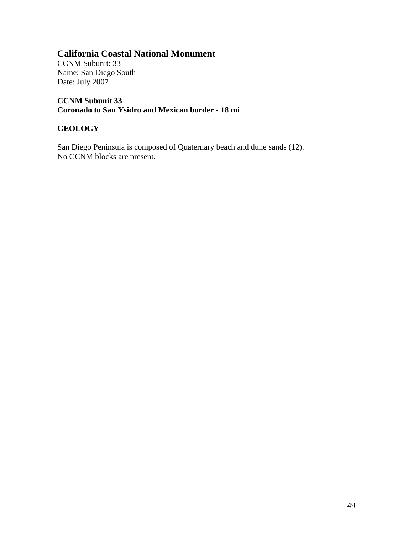CCNM Subunit: 33 Name: San Diego South Date: July 2007

**CCNM Subunit 33 Coronado to San Ysidro and Mexican border - 18 mi** 

#### **GEOLOGY**

San Diego Peninsula is composed of Quaternary beach and dune sands (12). No CCNM blocks are present.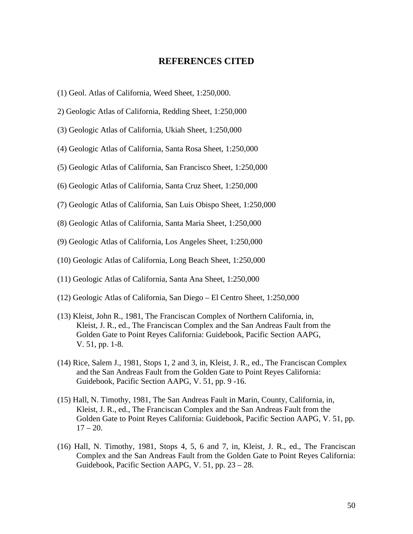#### **REFERENCES CITED**

- (1) Geol. Atlas of California, Weed Sheet, 1:250,000.
- 2) Geologic Atlas of California, Redding Sheet, 1:250,000
- (3) Geologic Atlas of California, Ukiah Sheet, 1:250,000
- (4) Geologic Atlas of California, Santa Rosa Sheet, 1:250,000
- (5) Geologic Atlas of California, San Francisco Sheet, 1:250,000
- (6) Geologic Atlas of California, Santa Cruz Sheet, 1:250,000
- (7) Geologic Atlas of California, San Luis Obispo Sheet, 1:250,000
- (8) Geologic Atlas of California, Santa Maria Sheet, 1:250,000
- (9) Geologic Atlas of California, Los Angeles Sheet, 1:250,000
- (10) Geologic Atlas of California, Long Beach Sheet, 1:250,000
- (11) Geologic Atlas of California, Santa Ana Sheet, 1:250,000
- (12) Geologic Atlas of California, San Diego El Centro Sheet, 1:250,000
- (13) Kleist, John R., 1981, The Franciscan Complex of Northern California, in, Kleist, J. R., ed., The Franciscan Complex and the San Andreas Fault from the Golden Gate to Point Reyes California: Guidebook, Pacific Section AAPG, V. 51, pp. 1-8.
- (14) Rice, Salem J., 1981, Stops 1, 2 and 3, in, Kleist, J. R., ed., The Franciscan Complex and the San Andreas Fault from the Golden Gate to Point Reyes California: Guidebook, Pacific Section AAPG, V. 51, pp. 9 -16.
- (15) Hall, N. Timothy, 1981, The San Andreas Fault in Marin, County, California, in, Kleist, J. R., ed., The Franciscan Complex and the San Andreas Fault from the Golden Gate to Point Reyes California: Guidebook, Pacific Section AAPG, V. 51, pp.  $17 - 20$ .
- (16) Hall, N. Timothy, 1981, Stops 4, 5, 6 and 7, in, Kleist, J. R., ed., The Franciscan Complex and the San Andreas Fault from the Golden Gate to Point Reyes California: Guidebook, Pacific Section AAPG, V. 51, pp. 23 – 28.